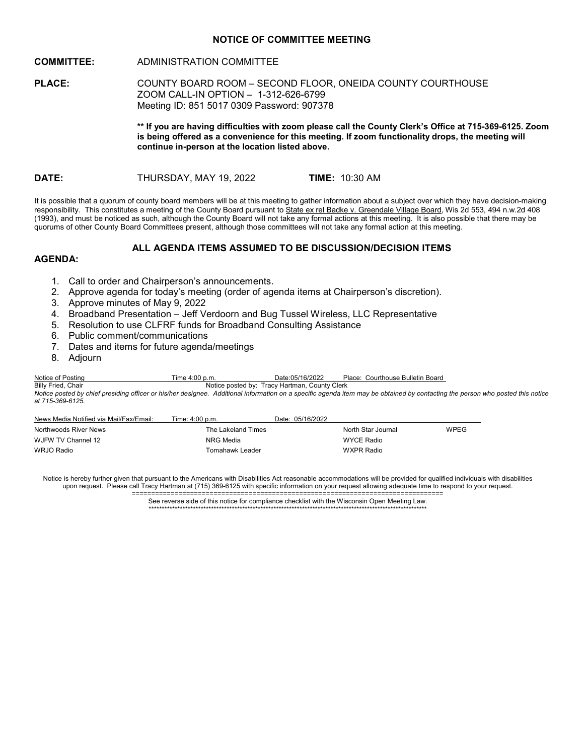# **NOTICE OF COMMITTEE MEETING**

# **COMMITTEE:** ADMINISTRATION COMMITTEE

**PLACE:** COUNTY BOARD ROOM – SECOND FLOOR, ONEIDA COUNTY COURTHOUSE ZOOM CALL-IN OPTION – 1-312-626-6799 Meeting ID: 851 5017 0309 Password: 907378

> **\*\* If you are having difficulties with zoom please call the County Clerk's Office at 715-369-6125. Zoom is being offered as a convenience for this meeting. If zoom functionality drops, the meeting will continue in-person at the location listed above.**

**DATE:** THURSDAY, MAY 19, 2022 **TIME:** 10:30 AM

It is possible that a quorum of county board members will be at this meeting to gather information about a subject over which they have decision-making responsibility. This constitutes a meeting of the County Board pursuant to State ex rel Badke v. Greendale Village Board, Wis 2d 553, 494 n.w.2d 408 (1993), and must be noticed as such, although the County Board will not take any formal actions at this meeting. It is also possible that there may be quorums of other County Board Committees present, although those committees will not take any formal action at this meeting.

# **ALL AGENDA ITEMS ASSUMED TO BE DISCUSSION/DECISION ITEMS**

# **AGENDA:**

- 1. Call to order and Chairperson's announcements.
- 2. Approve agenda for today's meeting (order of agenda items at Chairperson's discretion).
- 3. Approve minutes of May 9, 2022
- 4. Broadband Presentation Jeff Verdoorn and Bug Tussel Wireless, LLC Representative
- 5. Resolution to use CLFRF funds for Broadband Consulting Assistance
- 6. Public comment/communications
- 7. Dates and items for future agenda/meetings
- 8. Adjourn

Notice of Posting Time 4:00 p.m. Date:05/16/2022 Place: Courthouse Bulletin Board<br>Billy Fried. Chair<br>Notice posted by: Tracy Hartman. County Clerk Notice posted by: Tracy Hartman, County Clerk

*Notice posted by chief presiding officer or his/her designee. Additional information on a specific agenda item may be obtained by contacting the person who posted this notice at 715-369-6125.*

| News Media Notified via Mail/Fax/Email: | Time: 4:00 p.m.    | Date: 05/16/2022 |                    |             |
|-----------------------------------------|--------------------|------------------|--------------------|-------------|
| Northwoods River News                   | The Lakeland Times |                  | North Star Journal | <b>WPEG</b> |
| WJFW TV Channel 12                      | NRG Media          |                  | WYCE Radio         |             |
| WRJO Radio                              | Tomahawk Leader    |                  | WXPR Radio         |             |

Notice is hereby further given that pursuant to the Americans with Disabilities Act reasonable accommodations will be provided for qualified individuals with disabilities upon request. Please call Tracy Hartman at (715) 369-6125 with specific information on your request allowing adequate time to respond to your request. ================================================================================

> See reverse side of this notice for compliance checklist with the Wisconsin Open Meeting Law. \*\*\*\*\*\*\*\*\*\*\*\*\*\*\*\*\*\*\*\*\*\*\*\*\*\*\*\*\*\*\*\*\*\*\*\*\*\*\*\*\*\*\*\*\*\*\*\*\*\*\*\*\*\*\*\*\*\*\*\*\*\*\*\*\*\*\*\*\*\*\*\*\*\*\*\*\*\*\*\*\*\*\*\*\*\*\*\*\*\*\*\*\*\*\*\*\*\*\*\*\*\*\*\*\*\*\*